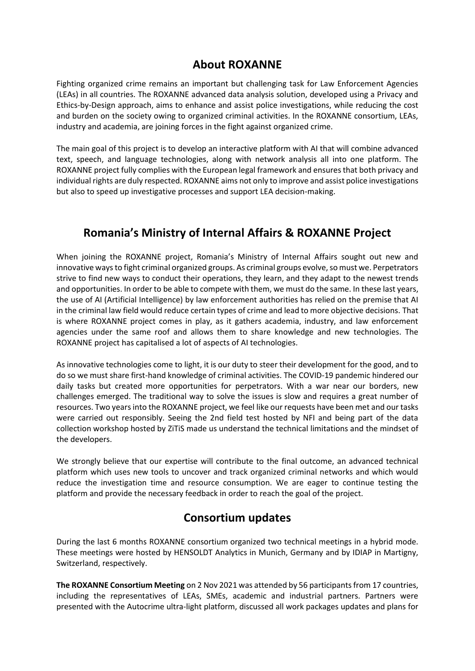## **About ROXANNE**

Fighting organized crime remains an important but challenging task for Law Enforcement Agencies (LEAs) in all countries. The ROXANNE advanced data analysis solution, developed using a Privacy and Ethics-by-Design approach, aims to enhance and assist police investigations, while reducing the cost and burden on the society owing to organized criminal activities. In the ROXANNE consortium, LEAs, industry and academia, are joining forces in the fight against organized crime.

The main goal of this project is to develop an interactive platform with AI that will combine advanced text, speech, and language technologies, along with network analysis all into one platform. The ROXANNE project fully complies with the European legal framework and ensures that both privacy and individual rights are duly respected. ROXANNE aims not only to improve and assist police investigations but also to speed up investigative processes and support LEA decision-making.

# **Romania's Ministry of Internal Affairs & ROXANNE Project**

When joining the ROXANNE project, Romania's Ministry of Internal Affairs sought out new and innovative ways to fight criminal organized groups. As criminal groups evolve, so must we. Perpetrators strive to find new ways to conduct their operations, they learn, and they adapt to the newest trends and opportunities. In order to be able to compete with them, we must do the same. In these last years, the use of AI (Artificial Intelligence) by law enforcement authorities has relied on the premise that AI in the criminal law field would reduce certain types of crime and lead to more objective decisions. That is where ROXANNE project comes in play, as it gathers academia, industry, and law enforcement agencies under the same roof and allows them to share knowledge and new technologies. The ROXANNE project has capitalised a lot of aspects of AI technologies.

As innovative technologies come to light, it is our duty to steer their development for the good, and to do so we must share first-hand knowledge of criminal activities. The COVID-19 pandemic hindered our daily tasks but created more opportunities for perpetrators. With a war near our borders, new challenges emerged. The traditional way to solve the issues is slow and requires a great number of resources. Two years into the ROXANNE project, we feel like our requests have been met and our tasks were carried out responsibly. Seeing the 2nd field test hosted by NFI and being part of the data collection workshop hosted by ZiTiS made us understand the technical limitations and the mindset of the developers.

We strongly believe that our expertise will contribute to the final outcome, an advanced technical platform which uses new tools to uncover and track organized criminal networks and which would reduce the investigation time and resource consumption. We are eager to continue testing the platform and provide the necessary feedback in order to reach the goal of the project.

## **Consortium updates**

During the last 6 months ROXANNE consortium organized two technical meetings in a hybrid mode. These meetings were hosted by HENSOLDT Analytics in Munich, Germany and by IDIAP in Martigny, Switzerland, respectively.

**The ROXANNE Consortium Meeting** on 2 Nov 2021 was attended by 56 participants from 17 countries, including the representatives of LEAs, SMEs, academic and industrial partners. Partners were presented with the Autocrime ultra-light platform, discussed all work packages updates and plans for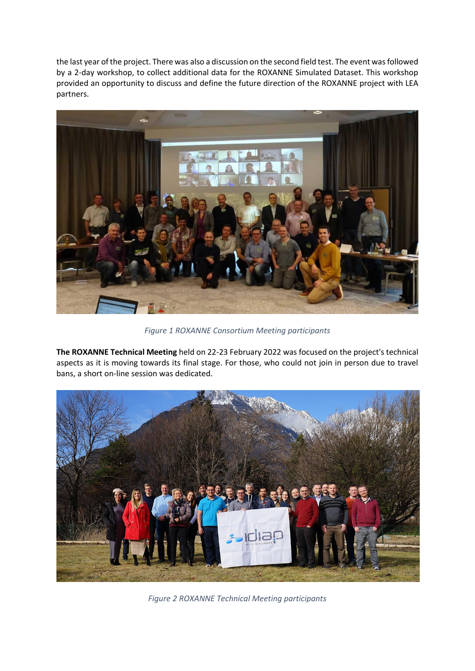the last year of the project. There was also a discussion on the second field test. The event was followed by a 2-day workshop, to collect additional data for the ROXANNE Simulated Dataset. This workshop provided an opportunity to discuss and define the future direction of the ROXANNE project with LEA partners.



*Figure 1 ROXANNE Consortium Meeting participants*

**The ROXANNE Technical Meeting** held on 22-23 February 2022 was focused on the project's technical aspects as it is moving towards its final stage. For those, who could not join in person due to travel bans, a short on-line session was dedicated.



*Figure 2 ROXANNE Technical Meeting participants*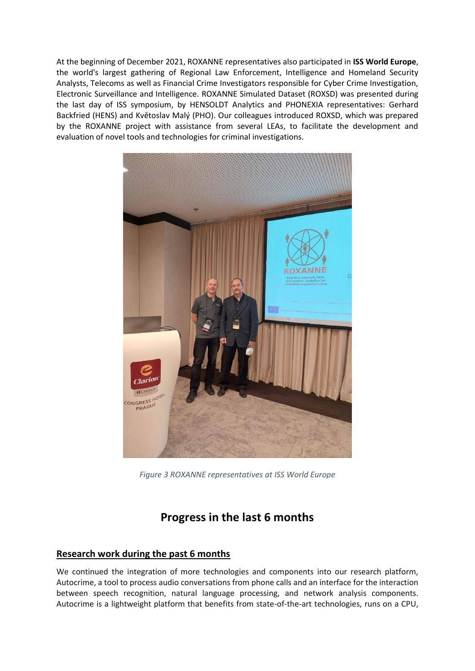At the beginning of December 2021, ROXANNE representatives also participated in **ISS World Europe**, the world's largest gathering of Regional Law Enforcement, Intelligence and Homeland Security Analysts, Telecoms as well as Financial Crime Investigators responsible for Cyber Crime Investigation, Electronic Surveillance and Intelligence. ROXANNE Simulated Dataset (ROXSD) was presented during the last day of ISS symposium, by HENSOLDT Analytics and PHONEXIA representatives: Gerhard Backfried (HENS) and Květoslav Malý (PHO). Our colleagues introduced ROXSD, which was prepared by the ROXANNE project with assistance from several LEAs, to facilitate the development and evaluation of novel tools and technologies for criminal investigations.



*Figure 3 ROXANNE representatives at ISS World Europe*

# **Progress in the last 6 months**

## **Research work during the past 6 months**

We continued the integration of more technologies and components into our research platform, Autocrime, a tool to process audio conversations from phone calls and an interface for the interaction between speech recognition, natural language processing, and network analysis components. Autocrime is a lightweight platform that benefits from state-of-the-art technologies, runs on a CPU,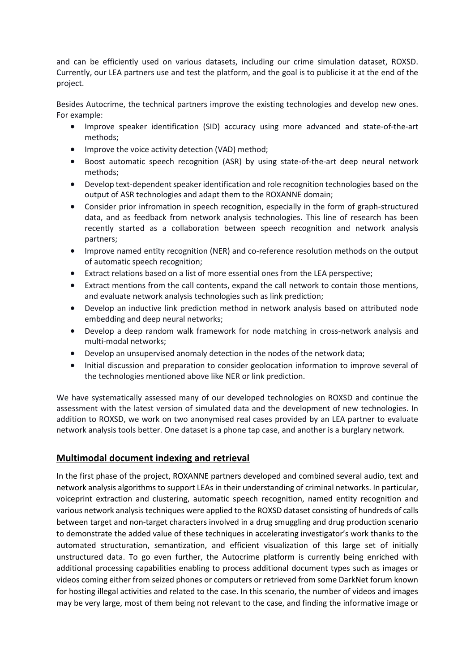and can be efficiently used on various datasets, including our crime simulation dataset, ROXSD. Currently, our LEA partners use and test the platform, and the goal is to publicise it at the end of the project.

Besides Autocrime, the technical partners improve the existing technologies and develop new ones. For example:

- Improve speaker identification (SID) accuracy using more advanced and state-of-the-art methods;
- Improve the voice activity detection (VAD) method;
- Boost automatic speech recognition (ASR) by using state-of-the-art deep neural network methods;
- Develop text-dependent speaker identification and role recognition technologies based on the output of ASR technologies and adapt them to the ROXANNE domain;
- Consider prior infromation in speech recognition, especially in the form of graph-structured data, and as feedback from network analysis technologies. This line of research has been recently started as a collaboration between speech recognition and network analysis partners;
- Improve named entity recognition (NER) and co-reference resolution methods on the output of automatic speech recognition;
- Extract relations based on a list of more essential ones from the LEA perspective;
- Extract mentions from the call contents, expand the call network to contain those mentions, and evaluate network analysis technologies such as link prediction;
- Develop an inductive link prediction method in network analysis based on attributed node embedding and deep neural networks;
- Develop a deep random walk framework for node matching in cross-network analysis and multi-modal networks;
- Develop an unsupervised anomaly detection in the nodes of the network data;
- Initial discussion and preparation to consider geolocation information to improve several of the technologies mentioned above like NER or link prediction.

We have systematically assessed many of our developed technologies on ROXSD and continue the assessment with the latest version of simulated data and the development of new technologies. In addition to ROXSD, we work on two anonymised real cases provided by an LEA partner to evaluate network analysis tools better. One dataset is a phone tap case, and another is a burglary network.

## **Multimodal document indexing and retrieval**

In the first phase of the project, ROXANNE partners developed and combined several audio, text and network analysis algorithms to support LEAs in their understanding of criminal networks. In particular, voiceprint extraction and clustering, automatic speech recognition, named entity recognition and various network analysis techniques were applied to the ROXSD dataset consisting of hundreds of calls between target and non-target characters involved in a drug smuggling and drug production scenario to demonstrate the added value of these techniques in accelerating investigator's work thanks to the automated structuration, semantization, and efficient visualization of this large set of initially unstructured data. To go even further, the Autocrime platform is currently being enriched with additional processing capabilities enabling to process additional document types such as images or videos coming either from seized phones or computers or retrieved from some DarkNet forum known for hosting illegal activities and related to the case. In this scenario, the number of videos and images may be very large, most of them being not relevant to the case, and finding the informative image or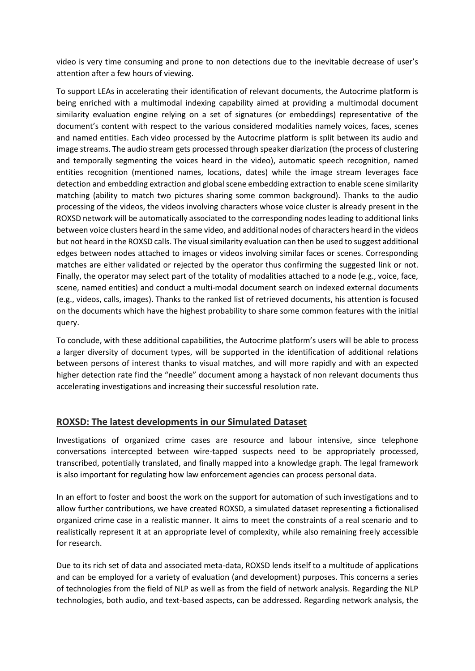video is very time consuming and prone to non detections due to the inevitable decrease of user's attention after a few hours of viewing.

To support LEAs in accelerating their identification of relevant documents, the Autocrime platform is being enriched with a multimodal indexing capability aimed at providing a multimodal document similarity evaluation engine relying on a set of signatures (or embeddings) representative of the document's content with respect to the various considered modalities namely voices, faces, scenes and named entities. Each video processed by the Autocrime platform is split between its audio and image streams. The audio stream gets processed through speaker diarization (the process of clustering and temporally segmenting the voices heard in the video), automatic speech recognition, named entities recognition (mentioned names, locations, dates) while the image stream leverages face detection and embedding extraction and global scene embedding extraction to enable scene similarity matching (ability to match two pictures sharing some common background). Thanks to the audio processing of the videos, the videos involving characters whose voice cluster is already present in the ROXSD network will be automatically associated to the corresponding nodes leading to additional links between voice clusters heard in the same video, and additional nodes of characters heard in the videos but not heard in the ROXSD calls. The visual similarity evaluation can then be used to suggest additional edges between nodes attached to images or videos involving similar faces or scenes. Corresponding matches are either validated or rejected by the operator thus confirming the suggested link or not. Finally, the operator may select part of the totality of modalities attached to a node (e.g., voice, face, scene, named entities) and conduct a multi-modal document search on indexed external documents (e.g., videos, calls, images). Thanks to the ranked list of retrieved documents, his attention is focused on the documents which have the highest probability to share some common features with the initial query.

To conclude, with these additional capabilities, the Autocrime platform's users will be able to process a larger diversity of document types, will be supported in the identification of additional relations between persons of interest thanks to visual matches, and will more rapidly and with an expected higher detection rate find the "needle" document among a haystack of non relevant documents thus accelerating investigations and increasing their successful resolution rate.

## **ROXSD: The latest developments in our Simulated Dataset**

Investigations of organized crime cases are resource and labour intensive, since telephone conversations intercepted between wire-tapped suspects need to be appropriately processed, transcribed, potentially translated, and finally mapped into a knowledge graph. The legal framework is also important for regulating how law enforcement agencies can process personal data.

In an effort to foster and boost the work on the support for automation of such investigations and to allow further contributions, we have created ROXSD, a simulated dataset representing a fictionalised organized crime case in a realistic manner. It aims to meet the constraints of a real scenario and to realistically represent it at an appropriate level of complexity, while also remaining freely accessible for research.

Due to its rich set of data and associated meta-data, ROXSD lends itself to a multitude of applications and can be employed for a variety of evaluation (and development) purposes. This concerns a series of technologies from the field of NLP as well as from the field of network analysis. Regarding the NLP technologies, both audio, and text-based aspects, can be addressed. Regarding network analysis, the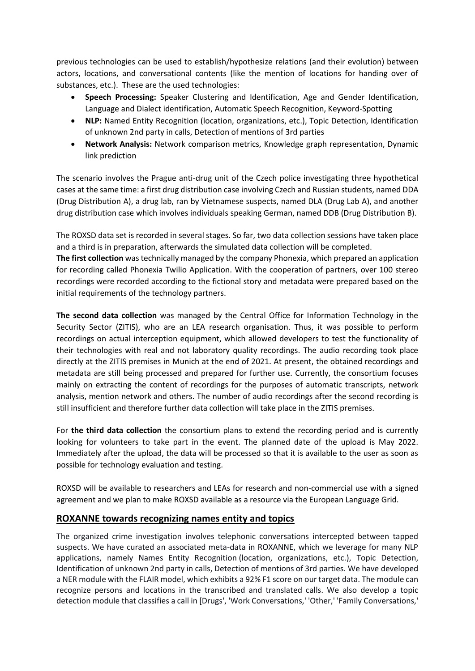previous technologies can be used to establish/hypothesize relations (and their evolution) between actors, locations, and conversational contents (like the mention of locations for handing over of substances, etc.). These are the used technologies:

- **Speech Processing:** Speaker Clustering and Identification, Age and Gender Identification, Language and Dialect identification, Automatic Speech Recognition, Keyword-Spotting
- **NLP:** Named Entity Recognition (location, organizations, etc.), Topic Detection, Identification of unknown 2nd party in calls, Detection of mentions of 3rd parties
- **Network Analysis:** Network comparison metrics, Knowledge graph representation, Dynamic link prediction

The scenario involves the Prague anti-drug unit of the Czech police investigating three hypothetical cases at the same time: a first drug distribution case involving Czech and Russian students, named DDA (Drug Distribution A), a drug lab, ran by Vietnamese suspects, named DLA (Drug Lab A), and another drug distribution case which involves individuals speaking German, named DDB (Drug Distribution B).

The ROXSD data set is recorded in several stages. So far, two data collection sessions have taken place and a third is in preparation, afterwards the simulated data collection will be completed.

**The first collection** was technically managed by the company Phonexia, which prepared an application for recording called Phonexia Twilio Application. With the cooperation of partners, over 100 stereo recordings were recorded according to the fictional story and metadata were prepared based on the initial requirements of the technology partners.

**The second data collection** was managed by the Central Office for Information Technology in the Security Sector (ZITIS), who are an LEA research organisation. Thus, it was possible to perform recordings on actual interception equipment, which allowed developers to test the functionality of their technologies with real and not laboratory quality recordings. The audio recording took place directly at the ZITIS premises in Munich at the end of 2021. At present, the obtained recordings and metadata are still being processed and prepared for further use. Currently, the consortium focuses mainly on extracting the content of recordings for the purposes of automatic transcripts, network analysis, mention network and others. The number of audio recordings after the second recording is still insufficient and therefore further data collection will take place in the ZITIS premises.

For **the third data collection** the consortium plans to extend the recording period and is currently looking for volunteers to take part in the event. The planned date of the upload is May 2022. Immediately after the upload, the data will be processed so that it is available to the user as soon as possible for technology evaluation and testing.

ROXSD will be available to researchers and LEAs for research and non-commercial use with a signed agreement and we plan to make ROXSD available as a resource via the European Language Grid.

### **ROXANNE towards recognizing names entity and topics**

The organized crime investigation involves telephonic conversations intercepted between tapped suspects. We have curated an associated meta-data in ROXANNE, which we leverage for many NLP applications, namely Names Entity Recognition (location, organizations, etc.), Topic Detection, Identification of unknown 2nd party in calls, Detection of mentions of 3rd parties. We have developed a NER module with the FLAIR model, which exhibits a 92% F1 score on our target data. The module can recognize persons and locations in the transcribed and translated calls. We also develop a topic detection module that classifies a call in [Drugs', 'Work Conversations,' 'Other,' 'Family Conversations,'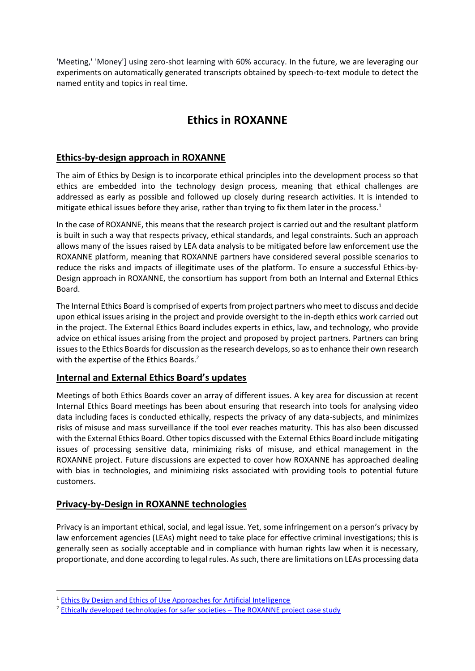'Meeting,' 'Money'] using zero-shot learning with 60% accuracy. In the future, we are leveraging our experiments on automatically generated transcripts obtained by speech-to-text module to detect the named entity and topics in real time.

# **Ethics in ROXANNE**

## **Ethics-by-design approach in ROXANNE**

The aim of Ethics by Design is to incorporate ethical principles into the development process so that ethics are embedded into the technology design process, meaning that ethical challenges are addressed as early as possible and followed up closely during research activities. It is intended to mitigate ethical issues before they arise, rather than trying to fix them later in the process.<sup>1</sup>

In the case of ROXANNE, this means that the research project is carried out and the resultant platform is built in such a way that respects privacy, ethical standards, and legal constraints. Such an approach allows many of the issues raised by LEA data analysis to be mitigated before law enforcement use the ROXANNE platform, meaning that ROXANNE partners have considered several possible scenarios to reduce the risks and impacts of illegitimate uses of the platform. To ensure a successful Ethics-by-Design approach in ROXANNE, the consortium has support from both an Internal and External Ethics Board.

The Internal Ethics Board is comprised of experts from project partners who meet to discuss and decide upon ethical issues arising in the project and provide oversight to the in-depth ethics work carried out in the project. The External Ethics Board includes experts in ethics, law, and technology, who provide advice on ethical issues arising from the project and proposed by project partners. Partners can bring issues to the Ethics Boards for discussion as the research develops, so as to enhance their own research with the expertise of the Ethics Boards.<sup>2</sup>

## **Internal and External Ethics Board's updates**

Meetings of both Ethics Boards cover an array of different issues. A key area for discussion at recent Internal Ethics Board meetings has been about ensuring that research into tools for analysing video data including faces is conducted ethically, respects the privacy of any data-subjects, and minimizes risks of misuse and mass surveillance if the tool ever reaches maturity. This has also been discussed with the External Ethics Board. Other topics discussed with the External Ethics Board include mitigating issues of processing sensitive data, minimizing risks of misuse, and ethical management in the ROXANNE project. Future discussions are expected to cover how ROXANNE has approached dealing with bias in technologies, and minimizing risks associated with providing tools to potential future customers.

## **Privacy-by-Design in ROXANNE technologies**

Privacy is an important ethical, social, and legal issue. Yet, some infringement on a person's privacy by law enforcement agencies (LEAs) might need to take place for effective criminal investigations; this is generally seen as socially acceptable and in compliance with human rights law when it is necessary, proportionate, and done according to legal rules. As such, there are limitations on LEAs processing data

<sup>&</sup>lt;sup>1</sup> [Ethics By Design and Ethics of Use Approaches for Artificial Intelligence](https://ec.europa.eu/info/funding-tenders/opportunities/docs/2021-2027/horizon/guidance/ethics-by-design-and-ethics-of-use-approaches-for-artificial-intelligence_he_en.pdf)

<sup>&</sup>lt;sup>2</sup> [Ethically developed technologies for safer](https://www.roxanne-euproject.org/news/blog/ethically-developed-technologies-for-safer-societies-2013-the-roxanne-project-case-study) societies - The ROXANNE project case study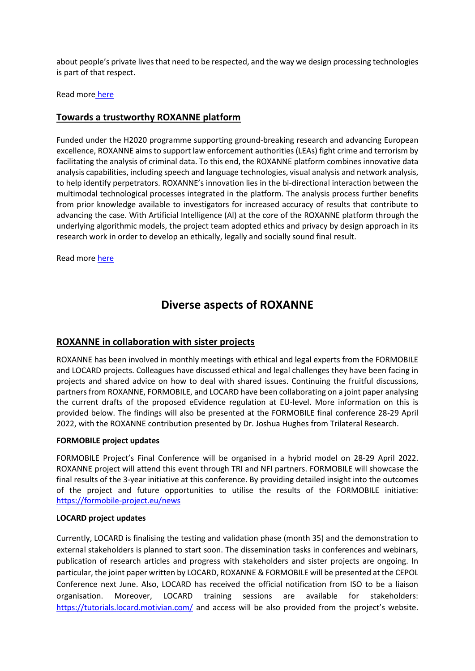about people's private lives that need to be respected, and the way we design processing technologies is part of that respect.

Read more [here](https://www.roxanne-euproject.org/news/privacy-by-design-in-roxanne-technologies)

### **Towards a trustworthy ROXANNE platform**

Funded under the H2020 programme supporting ground-breaking research and advancing European excellence, ROXANNE aims to support law enforcement authorities (LEAs) fight crime and terrorism by facilitating the analysis of criminal data. To this end, the ROXANNE platform combines innovative data analysis capabilities, including speech and language technologies, visual analysis and network analysis, to help identify perpetrators. ROXANNE's innovation lies in the bi-directional interaction between the multimodal technological processes integrated in the platform. The analysis process further benefits from prior knowledge available to investigators for increased accuracy of results that contribute to advancing the case. With Artificial Intelligence (Al) at the core of the ROXANNE platform through the underlying algorithmic models, the project team adopted ethics and privacy by design approach in its research work in order to develop an ethically, legally and socially sound final result.

Read more [here](https://www.roxanne-euproject.org/news/towards-a-trustworthy-roxanne-platform)

## **Diverse aspects of ROXANNE**

### **ROXANNE in collaboration with sister projects**

ROXANNE has been involved in monthly meetings with ethical and legal experts from the FORMOBILE and LOCARD projects. Colleagues have discussed ethical and legal challenges they have been facing in projects and shared advice on how to deal with shared issues. Continuing the fruitful discussions, partners from ROXANNE, FORMOBILE, and LOCARD have been collaborating on a joint paper analysing the current drafts of the proposed eEvidence regulation at EU-level. More information on this is provided below. The findings will also be presented at the FORMOBILE final conference 28-29 April 2022, with the ROXANNE contribution presented by Dr. Joshua Hughes from Trilateral Research.

#### **FORMOBILE project updates**

FORMOBILE Project's Final Conference will be organised in a hybrid model on 28-29 April 2022. ROXANNE project will attend this event through TRI and NFI partners. FORMOBILE will showcase the final results of the 3-year initiative at this conference. By providing detailed insight into the outcomes of the project and future opportunities to utilise the results of the FORMOBILE initiative: <https://formobile-project.eu/news>

#### **LOCARD project updates**

Currently, LOCARD is finalising the testing and validation phase (month 35) and the demonstration to external stakeholders is planned to start soon. The dissemination tasks in conferences and webinars, publication of research articles and progress with stakeholders and sister projects are ongoing. In particular, the joint paper written by LOCARD, ROXANNE & FORMOBILE will be presented at the CEPOL Conference next June. Also, LOCARD has received the official notification from ISO to be a liaison organisation. Moreover, LOCARD training sessions are available for stakeholders: <https://tutorials.locard.motivian.com/> and access will be also provided from the project's website.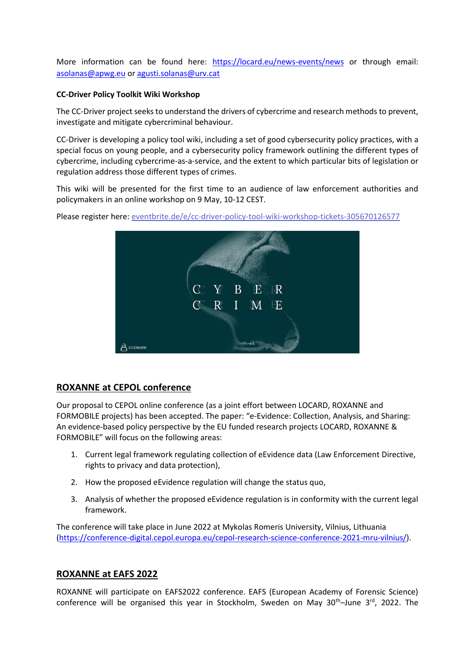More information can be found here: <https://locard.eu/news-events/news> or through email: [asolanas@apwg.eu](mailto:asolanas@apwg.eu) or [agusti.solanas@urv.cat](mailto:agusti.solanas@urv.cat)

### **CC-Driver Policy Toolkit Wiki Workshop**

The CC-Driver project seeks to understand the drivers of cybercrime and research methods to prevent, investigate and mitigate cybercriminal behaviour.

CC-Driver is developing a policy tool wiki, including a set of good cybersecurity policy practices, with a special focus on young people, and a cybersecurity policy framework outlining the different types of cybercrime, including cybercrime-as-a-service, and the extent to which particular bits of legislation or regulation address those different types of crimes.

This wiki will be presented for the first time to an audience of law enforcement authorities and policymakers in an online workshop on 9 May, 10-12 CEST.

Please register here: eventbrite.de/e/cc-driver-policy-tool-wiki-workshop-tickets-305670126577



### **ROXANNE at CEPOL conference**

Our proposal to CEPOL online conference (as a joint effort between LOCARD, ROXANNE and FORMOBILE projects) has been accepted. The paper: "e-Evidence: Collection, Analysis, and Sharing: An evidence-based policy perspective by the EU funded research projects LOCARD, ROXANNE & FORMOBILE" will focus on the following areas:

- 1. Current legal framework regulating collection of eEvidence data (Law Enforcement Directive, rights to privacy and data protection),
- 2. How the proposed eEvidence regulation will change the status quo,
- 3. Analysis of whether the proposed eEvidence regulation is in conformity with the current legal framework.

The conference will take place in June 2022 at Mykolas Romeris University, Vilnius, Lithuania [\(https://conference-digital.cepol.europa.eu/cepol-research-science-conference-2021-mru-vilnius/\)](https://conference-digital.cepol.europa.eu/cepol-research-science-conference-2021-mru-vilnius/).

### **ROXANNE at EAFS 2022**

ROXANNE will participate on EAFS2022 conference. EAFS (European Academy of Forensic Science) conference will be organised this year in Stockholm, Sweden on May  $30<sup>th</sup>$ –June  $3<sup>rd</sup>$ , 2022. The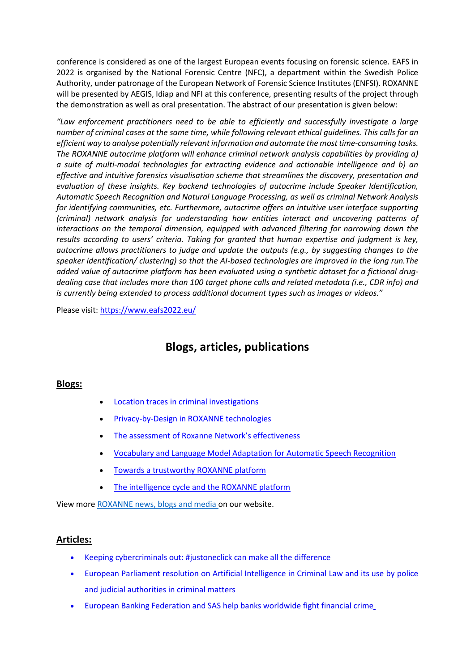conference is considered as one of the largest European events focusing on forensic science. EAFS in 2022 is organised by the National Forensic Centre (NFC), a department within the Swedish Police Authority, under patronage of the European Network of Forensic Science Institutes (ENFSI). ROXANNE will be presented by AEGIS, Idiap and NFI at this conference, presenting results of the project through the demonstration as well as oral presentation. The abstract of our presentation is given below:

*"Law enforcement practitioners need to be able to efficiently and successfully investigate a large number of criminal cases at the same time, while following relevant ethical guidelines. This calls for an efficient way to analyse potentially relevant information and automate the most time-consuming tasks. The ROXANNE autocrime platform will enhance criminal network analysis capabilities by providing a) a suite of multi-modal technologies for extracting evidence and actionable intelligence and b) an effective and intuitive forensics visualisation scheme that streamlines the discovery, presentation and evaluation of these insights. Key backend technologies of autocrime include Speaker Identification, Automatic Speech Recognition and Natural Language Processing, as well as criminal Network Analysis for identifying communities, etc. Furthermore, autocrime offers an intuitive user interface supporting (criminal) network analysis for understanding how entities interact and uncovering patterns of interactions on the temporal dimension, equipped with advanced filtering for narrowing down the results according to users' criteria. Taking for granted that human expertise and judgment is key, autocrime allows practitioners to judge and update the outputs (e.g., by suggesting changes to the speaker identification/ clustering) so that the AI-based technologies are improved in the long run.The added value of autocrime platform has been evaluated using a synthetic dataset for a fictional drugdealing case that includes more than 100 target phone calls and related metadata (i.e., CDR info) and is currently being extended to process additional document types such as images or videos."*

Please visit[: https://www.eafs2022.eu/](https://www.eafs2022.eu/)

# **Blogs, articles, publications**

### **Blogs:**

- [Location traces in criminal investigations](https://www.roxanne-euproject.org/news/location-traces-in-criminal-investigations)
- [Privacy-by-Design in ROXANNE technologies](https://www.roxanne-euproject.org/news/privacy-by-design-in-roxanne-technologies)
- [The assessment of Roxanne Network's effectiveness](https://www.roxanne-euproject.org/news/the-assessment-of-roxanne-network2019s-effectiveness)
- [Vocabulary and Language Model Adaptation for Automatic Speech Recognition](https://www.roxanne-euproject.org/news/vocabulary-and-language-model-adaptation-for-automatic-speech-recognition)
- [Towards a trustworthy ROXANNE platform](https://www.roxanne-euproject.org/news/towards-a-trustworthy-roxanne-platform)
- [The intelligence cycle and the ROXANNE platform](https://www.roxanne-euproject.org/news/blog/the-intelligence-cycle-and-the-roxanne-platform)

View more [ROXANNE news, blogs and media o](https://roxanne-euproject.org/news?utm_source=newsletter&utm_medium=email&utm_campaign=ROXANNE+Newsletter)n our website.

### **Articles:**

- [Keeping cybercriminals out: #justoneclick can make all the difference](https://www.interpol.int/News-and-Events/News/2021/Keeping-cybercriminals-out-JustOneClick-can-make-all-the-difference)
- [European Parliament resolution on Artificial Intelligence in Criminal Law and its use by police](https://www.medialaws.eu/european-parliament-resolution-on-artificial-intelligence-in-criminal-law-and-its-use-by-the-police-and-judicial-authorities-in-criminal-matters/)  [and judicial authorities in criminal matters](https://www.medialaws.eu/european-parliament-resolution-on-artificial-intelligence-in-criminal-law-and-its-use-by-the-police-and-judicial-authorities-in-criminal-matters/)
- [European Banking Federation and SAS help banks worldwide fight financial crime](https://www.riskcompliance.biz/news/european-banking-federation-and-sas-help-banks-worldwide-fight-financial-crime/)